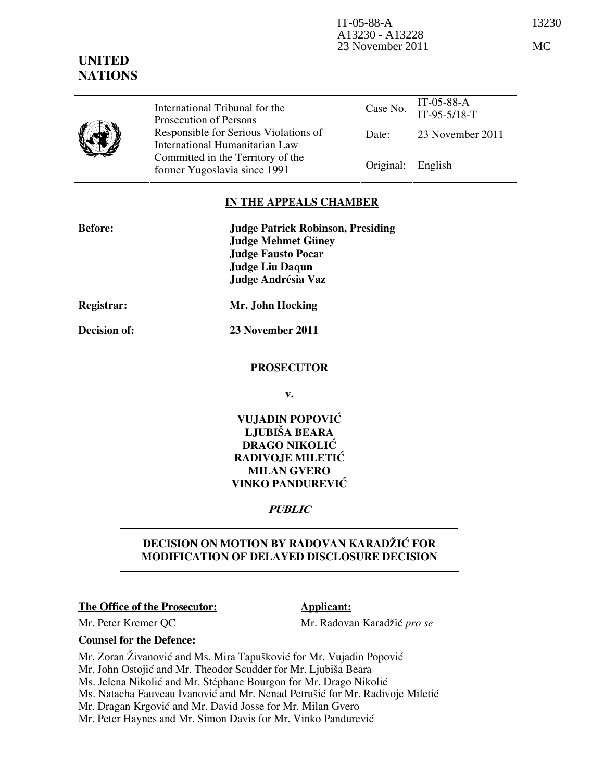

International Tribunal for the Prosecution of Persons Responsible for Serious Violations of International Humanitarian Law Committed in the Territory of the Former Yugoslavia since 1991 **Original:** English

### IN THE APPEALS CHAMBER

| <b>Before:</b>    | <b>Judge Patrick Robinson, Presiding</b><br><b>Judge Mehmet Güney</b><br><b>Judge Fausto Pocar</b><br><b>Judge Liu Daqun</b><br>Judge Andrésia Vaz |
|-------------------|----------------------------------------------------------------------------------------------------------------------------------------------------|
| <b>Registrar:</b> | Mr. John Hocking                                                                                                                                   |
| Decision of:      | 23 November 2011                                                                                                                                   |
|                   | <b>PROSECUTOR</b>                                                                                                                                  |
|                   | v.                                                                                                                                                 |
|                   | VUJADIN POPOVIĆ<br>$\mathbf{r}$ $\mathbf{r}$ $\mathbf{m}$ $\mathbf{r}$ $\mathbf{r}$ $\mathbf{m}$ $\mathbf{r}$ $\mathbf{r}$                         |

#### LJUBIŠA BEARA DRAGO NIKOLIĆ RADIVOJE MILETIĆ MILAN GVERO VINKO PANDUREVIĆ

# PUBLIC

## DECISION ON MOTION BY RADOVAN KARADŽIĆ FOR MODIFICATION OF DELAYED DISCLOSURE DECISION

### The Office of the Prosecutor: Applicant:

Mr. Peter Kremer QC Mr. Radovan Karadžić pro se

Counsel for the Defence:

Mr. Zoran Živanović and Ms. Mira Tapušković for Mr. Vujadin Popović

Mr. John Ostojić and Mr. Theodor Scudder for Mr. Ljubiša Beara

Ms. Jelena Nikolić and Mr. Stéphane Bourgon for Mr. Drago Nikolić

Ms. Natacha Fauveau Ivanović and Mr. Nenad Petrušić for Mr. Radivoje Miletić

Mr. Dragan Krgović and Mr. David Josse for Mr. Milan Gvero

Mr. Peter Haynes and Mr. Simon Davis for Mr. Vinko Pandurević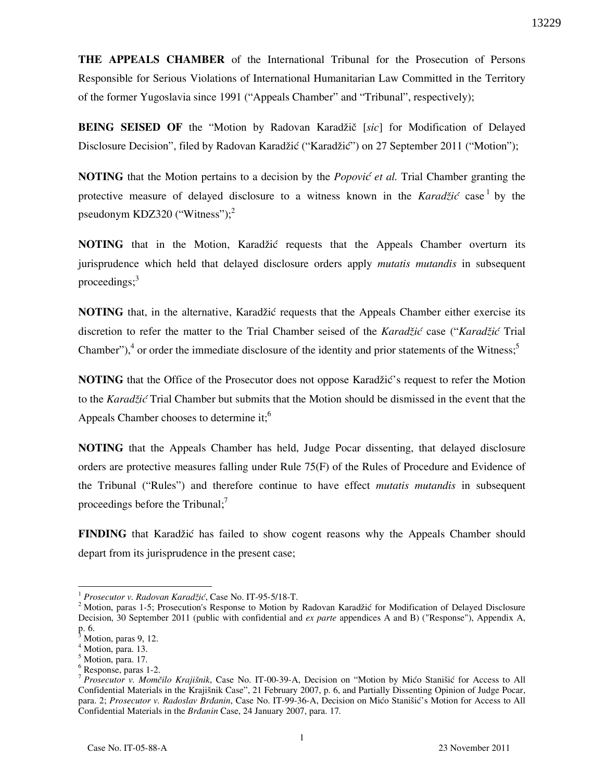THE APPEALS CHAMBER of the International Tribunal for the Prosecution of Persons Responsible for Serious Violations of International Humanitarian Law Committed in the Territory of the former Yugoslavia since 1991 ("Appeals Chamber" and "Tribunal", respectively);

BEING SEISED OF the "Motion by Radovan Karadžič [sic] for Modification of Delayed Disclosure Decision", filed by Radovan Karadžić ("Karadžić") on 27 September 2011 ("Motion");

**NOTING** that the Motion pertains to a decision by the *Popović et al.* Trial Chamber granting the protective measure of delayed disclosure to a witness known in the Karadžić case by the pseudonym KDZ320 ("Witness");<sup>2</sup>

**NOTING** that in the Motion, Karadžić requests that the Appeals Chamber overturn its jurisprudence which held that delayed disclosure orders apply mutatis mutandis in subsequent proceedings; $3<sup>3</sup>$ 

**NOTING** that, in the alternative, Karadžić requests that the Appeals Chamber either exercise its discretion to refer the matter to the Trial Chamber seised of the Karadžić case ("Karadžić Trial Chamber"),<sup>4</sup> or order the immediate disclosure of the identity and prior statements of the Witness;<sup>5</sup>

**NOTING** that the Office of the Prosecutor does not oppose Karadžić's request to refer the Motion to the Karadžić Trial Chamber but submits that the Motion should be dismissed in the event that the Appeals Chamber chooses to determine it;<sup>6</sup>

NOTING that the Appeals Chamber has held, Judge Pocar dissenting, that delayed disclosure orders are protective measures falling under Rule 75(F) of the Rules of Procedure and Evidence of the Tribunal ("Rules") and therefore continue to have effect *mutatis mutandis* in subsequent proceedings before the Tribunal; $<sup>7</sup>$ </sup>

**FINDING** that Karadžić has failed to show cogent reasons why the Appeals Chamber should depart from its jurisprudence in the present case;

-

 $1$  Prosecutor v. Radovan Karadžić, Case No. IT-95-5/18-T.

 $2$  Motion, paras 1-5; Prosecution's Response to Motion by Radovan Karadžić for Modification of Delayed Disclosure Decision, 30 September 2011 (public with confidential and ex parte appendices A and B) ("Response"), Appendix A, p. 6.

Motion, paras 9, 12.

<sup>4</sup> Motion, para. 13.

<sup>&</sup>lt;sup>5</sup> Motion, para. 17.

<sup>6</sup> Response, paras 1-2.

<sup>&</sup>lt;sup>7</sup> Prosecutor v. Momčilo Krajišnik, Case No. IT-00-39-A, Decision on "Motion by Mićo Stanišić for Access to All Confidential Materials in the Krajišnik Case", 21 February 2007, p. 6, and Partially Dissenting Opinion of Judge Pocar, para. 2; Prosecutor v. Radoslav Brđanin, Case No. IT-99-36-A, Decision on Mićo Stanišić's Motion for Access to All Confidential Materials in the Brdanin Case, 24 January 2007, para. 17.